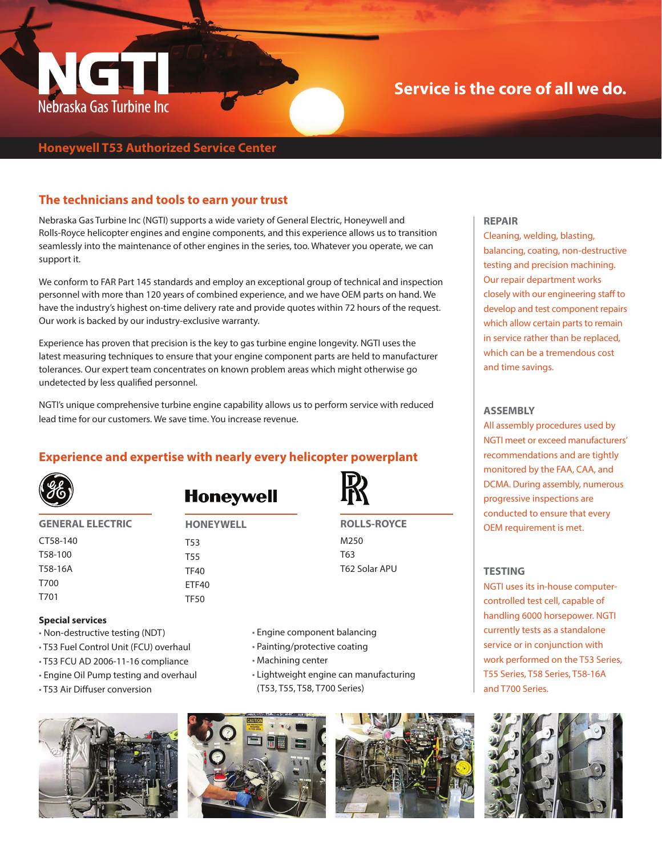

# **Service is the core of all we do.**

## **Honeywell T53 Authorized Service Center**

#### **The technicians and tools to earn your trust**

Nebraska Gas Turbine Inc (NGTI) supports a wide variety of General Electric, Honeywell and Rolls-Royce helicopter engines and engine components, and this experience allows us to transition seamlessly into the maintenance of other engines in the series, too. Whatever you operate, we can support it.

We conform to FAR Part 145 standards and employ an exceptional group of technical and inspection personnel with more than 120 years of combined experience, and we have OEM parts on hand. We have the industry's highest on-time delivery rate and provide quotes within 72 hours of the request. Our work is backed by our industry-exclusive warranty.

Experience has proven that precision is the key to gas turbine engine longevity. NGTI uses the latest measuring techniques to ensure that your engine component parts are held to manufacturer tolerances. Our expert team concentrates on known problem areas which might otherwise go undetected by less qualified personnel.

NGTI's unique comprehensive turbine engine capability allows us to perform service with reduced lead time for our customers. We save time. You increase revenue.

### **Experience and expertise with nearly every helicopter powerplant**



CT58-140 T58-100 T58-16A T700 T701

# **Honeywell**

**GENERAL ELECTRIC HONEYWELL** T53 T55 TF40 ETF40 TF50

**ROLLS-ROYCE** M250 T63 T62 Solar APU

#### **Special services**

- Non-destructive testing (NDT)
- T53 Fuel Control Unit (FCU) overhaul
- T53 FCU AD 2006-11-16 compliance
- Engine Oil Pump testing and overhaul
- T53 Air Diffuser conversion



- Painting/protective coating
- Machining center
- Lightweight engine can manufacturing (T53, T55, T58, T700 Series)







#### **REPAIR**

Cleaning, welding, blasting, balancing, coating, non-destructive testing and precision machining. Our repair department works closely with our engineering staff to develop and test component repairs which allow certain parts to remain in service rather than be replaced, which can be a tremendous cost and time savings.

#### **ASSEMBLY**

All assembly procedures used by NGTI meet or exceed manufacturers' recommendations and are tightly monitored by the FAA, CAA, and DCMA. During assembly, numerous progressive inspections are conducted to ensure that every OEM requirement is met.

#### **TESTING**

NGTI uses its in-house computercontrolled test cell, capable of handling 6000 horsepower. NGTI currently tests as a standalone service or in conjunction with work performed on the T53 Series, T55 Series, T58 Series, T58-16A and T700 Series.